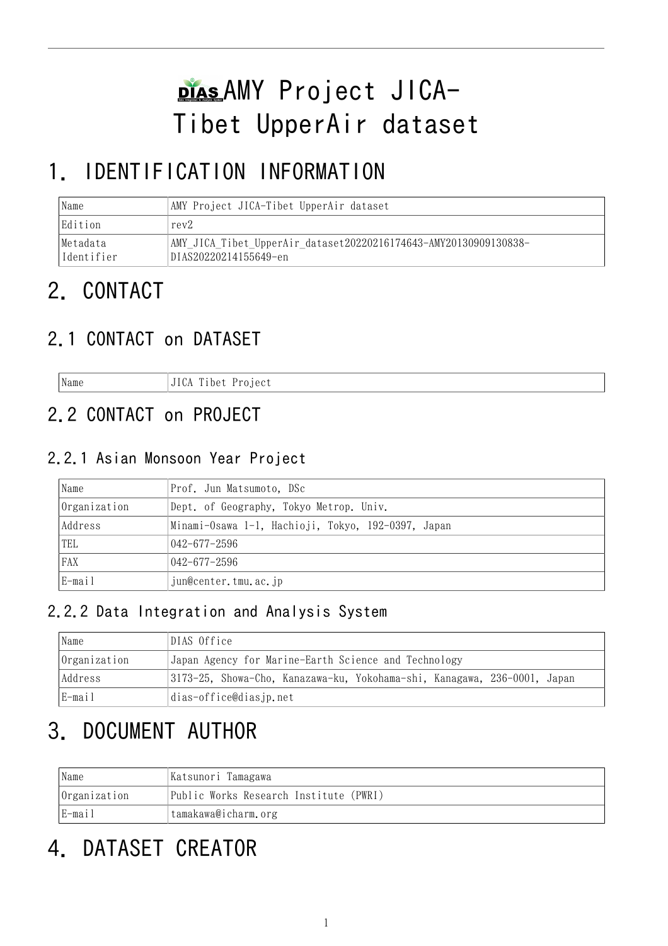# DIASAMY Project JICA-Tibet UpperAir dataset

## 1. IDENTIFICATION INFORMATION

| Name                    | AMY Project JICA-Tibet UpperAir dataset                                                   |  |
|-------------------------|-------------------------------------------------------------------------------------------|--|
| Edition                 | rev2                                                                                      |  |
| Metadata <br>Identifier | AMY JICA Tibet UpperAir dataset20220216174643-AMY20130909130838-<br>DIAS20220214155649-en |  |

## 2. CONTACT

## 2.1 CONTACT on DATASET

Name JICA Tibet Project

## 2.2 CONTACT on PROJECT

#### 2.2.1 Asian Monsoon Year Project

| Name         | Prof. Jun Matsumoto, DSc                           |  |
|--------------|----------------------------------------------------|--|
| Organization | Dept. of Geography, Tokyo Metrop. Univ.            |  |
| Address      | Minami-Osawa 1-1, Hachioji, Tokyo, 192-0397, Japan |  |
| TEL          | 042–677–2596                                       |  |
| FAX          | 042–677–2596                                       |  |
| E-mail       | jun@center.tmu.ac.jp                               |  |

### 2.2.2 Data Integration and Analysis System

| Name         | DIAS Office                                                              |  |  |
|--------------|--------------------------------------------------------------------------|--|--|
| Organization | Japan Agency for Marine-Earth Science and Technology                     |  |  |
| Address      | 3173-25, Showa-Cho, Kanazawa-ku, Yokohama-shi, Kanagawa, 236-0001, Japan |  |  |
| E-mail       | dias-office@diasjp.net                                                   |  |  |

## 3. DOCUMENT AUTHOR

| Name                          | Katsunori Tamagawa                     |  |
|-------------------------------|----------------------------------------|--|
| Organization                  | Public Works Research Institute (PWRI) |  |
| E-mail<br>tamakawa@icharm.org |                                        |  |

## 4. DATASET CREATOR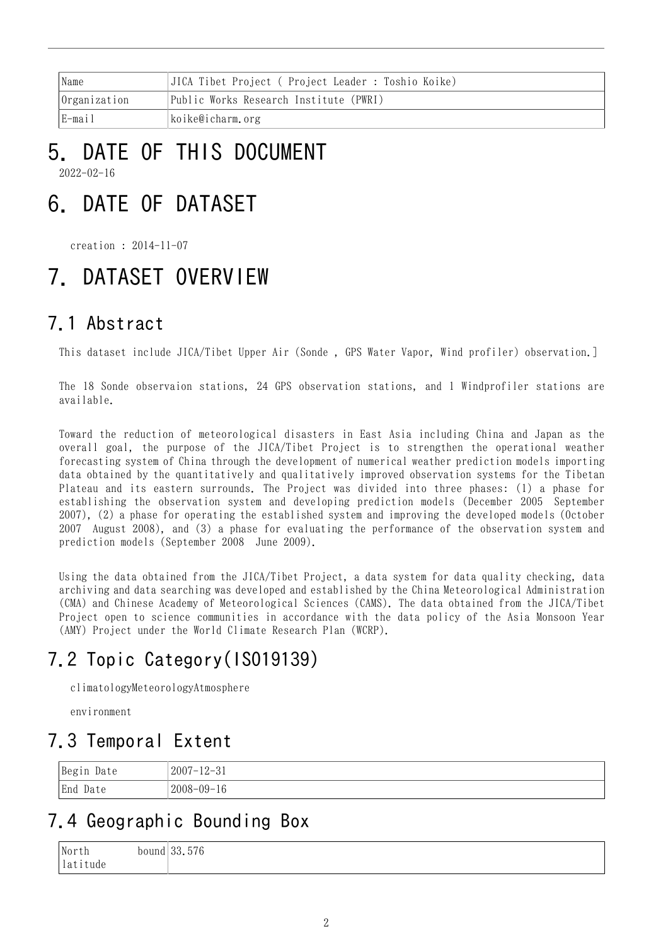| 'Name                      | JICA Tibet Project ( Project Leader : Toshio Koike) |
|----------------------------|-----------------------------------------------------|
| $ 0$ rganization           | Public Works Research Institute (PWRI)              |
| E-mail<br>koike@icharm.org |                                                     |

# 5. DATE OF THIS DOCUMENT

2022-02-16

## 6. DATE OF DATASET

creation : 2014-11-07

## 7. DATASET OVERVIEW

### 7.1 Abstract

This dataset include JICA/Tibet Upper Air (Sonde , GPS Water Vapor, Wind profiler) observation.]

The 18 Sonde observaion stations, 24 GPS observation stations, and 1 Windprofiler stations are available.

Toward the reduction of meteorological disasters in East Asia including China and Japan as the overall goal, the purpose of the JICA/Tibet Project is to strengthen the operational weather forecasting system of China through the development of numerical weather prediction models importing data obtained by the quantitatively and qualitatively improved observation systems for the Tibetan Plateau and its eastern surrounds. The Project was divided into three phases: (1) a phase for establishing the observation system and developing prediction models (December 2005 September 2007), (2) a phase for operating the established system and improving the developed models (October 2007August 2008), and (3) a phase for evaluating the performance of the observation system and prediction models (September 2008 June 2009).

Using the data obtained from the JICA/Tibet Project, a data system for data quality checking, data archiving and data searching was developed and established by the China Meteorological Administration (CMA) and Chinese Academy of Meteorological Sciences (CAMS). The data obtained from the JICA/Tibet Project open to science communities in accordance with the data policy of the Asia Monsoon Year (AMY) Project under the World Climate Research Plan (WCRP).

## 7.2 Topic Category(ISO19139)

climatologyMeteorologyAtmosphere

environment

### 7.3 Temporal Extent

| Begin Date  | $2007 - 12 - 31$<br>ບ⊥ |
|-------------|------------------------|
| End<br>Date | $2008 - 09 - 16$       |

### 7.4 Geographic Bounding Box

| <b>North</b> | $  \alpha$<br>ററ<br>bound $33.576$ |
|--------------|------------------------------------|
| lat<br>tude  |                                    |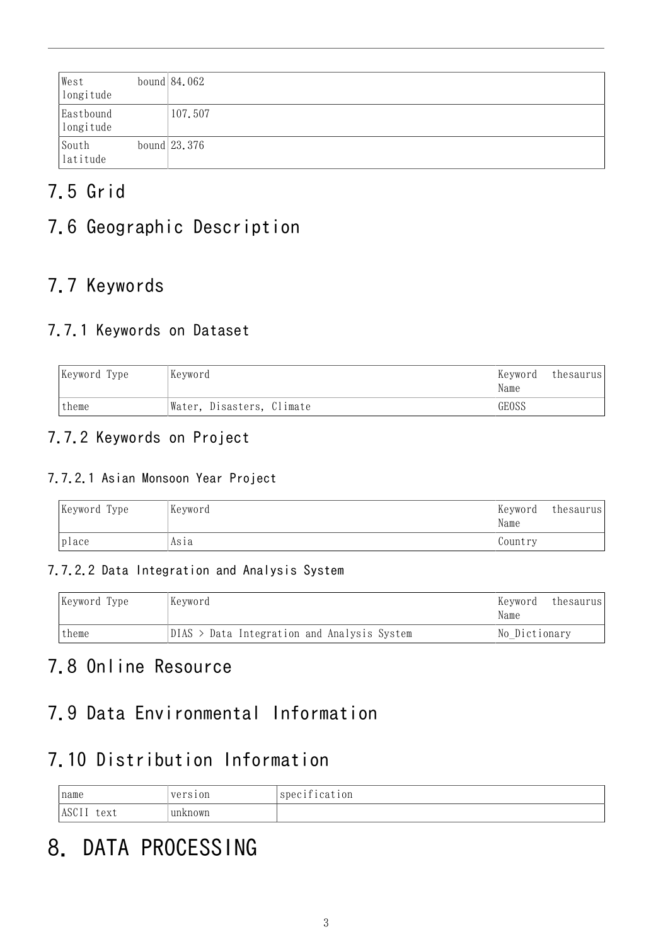| West<br>longitude                                              | bound $84.062$ |
|----------------------------------------------------------------|----------------|
| Eastbound<br>longitude                                         | 107.507        |
| $\begin{array}{c} \text{South} \\ \text{latitude} \end{array}$ | bound $23.376$ |

## 7.5 Grid

### 7.6 Geographic Description

### 7.7 Keywords

### 7.7.1 Keywords on Dataset

| Keyword Type | Keyword<br> Keyword       |       | thesaurus |
|--------------|---------------------------|-------|-----------|
| theme        | Water, Disasters, Climate | GEOSS |           |

#### 7.7.2 Keywords on Project

#### 7.7.2.1 Asian Monsoon Year Project

| Keyword Type | Keyword | Keyword<br>Name | thesaurus |
|--------------|---------|-----------------|-----------|
| place        | Asia    | Country         |           |

#### 7.7.2.2 Data Integration and Analysis System

| Keyword<br>Keyword Type |                                               | Keyword<br>thesaurus<br>Name |
|-------------------------|-----------------------------------------------|------------------------------|
| theme                   | $DIAS$ > Data Integration and Analysis System | No Dictionary                |

### 7.8 Online Resource

### 7.9 Data Environmental Information

### 7.10 Distribution Information

| name                 | version | specification |
|----------------------|---------|---------------|
| <b>ASCII</b><br>text | unknown |               |

## 8. DATA PROCESSING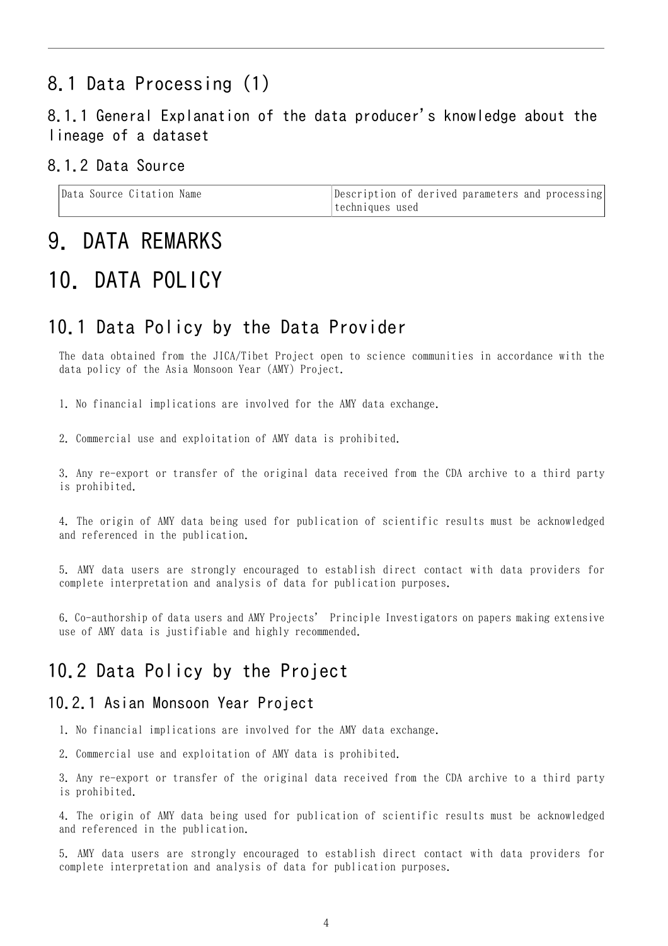### 8.1 Data Processing (1)

#### 8.1.1 General Explanation of the data producer's knowledge about the lineage of a dataset

#### 8.1.2 Data Source

| Data Source Citation Name | Description of derived parameters and processing |
|---------------------------|--------------------------------------------------|
|                           | techniques used                                  |

### 9. DATA REMARKS

## 10. DATA POLICY

#### 10.1 Data Policy by the Data Provider

The data obtained from the JICA/Tibet Project open to science communities in accordance with the data policy of the Asia Monsoon Year (AMY) Project.

1. No financial implications are involved for the AMY data exchange.

2. Commercial use and exploitation of AMY data is prohibited.

3. Any re-export or transfer of the original data received from the CDA archive to a third party is prohibited.

4. The origin of AMY data being used for publication of scientific results must be acknowledged and referenced in the publication.

5. AMY data users are strongly encouraged to establish direct contact with data providers for complete interpretation and analysis of data for publication purposes.

6. Co-authorship of data users and AMY Projects' Principle Investigators on papers making extensive use of AMY data is justifiable and highly recommended.

#### 10.2 Data Policy by the Project

#### 10.2.1 Asian Monsoon Year Project

1. No financial implications are involved for the AMY data exchange.

2. Commercial use and exploitation of AMY data is prohibited.

3. Any re-export or transfer of the original data received from the CDA archive to a third party is prohibited.

4. The origin of AMY data being used for publication of scientific results must be acknowledged and referenced in the publication.

5. AMY data users are strongly encouraged to establish direct contact with data providers for complete interpretation and analysis of data for publication purposes.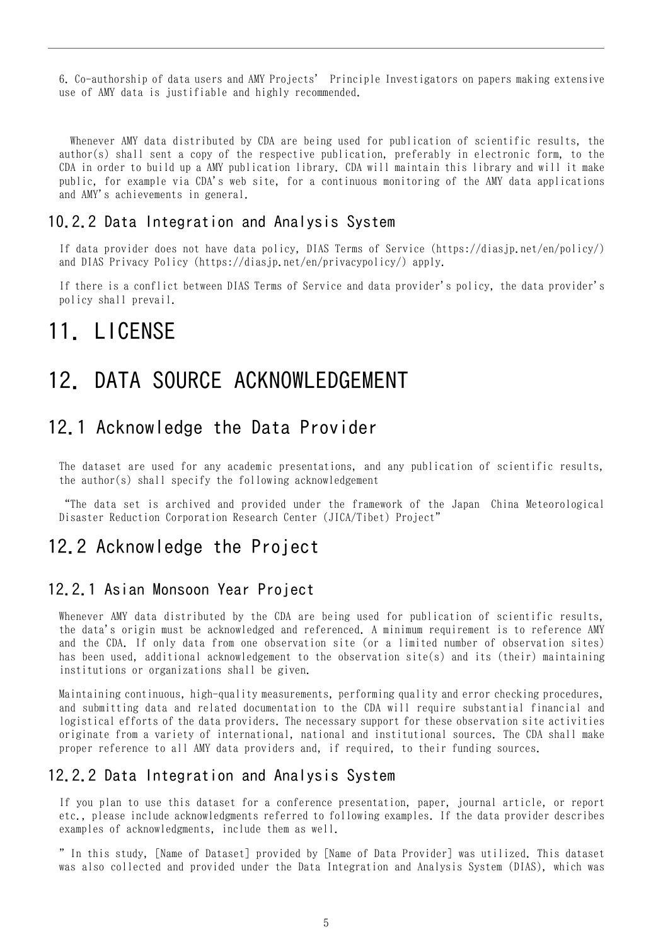6. Co-authorship of data users and AMY Projects' Principle Investigators on papers making extensive use of AMY data is justifiable and highly recommended.

 Whenever AMY data distributed by CDA are being used for publication of scientific results, the author(s) shall sent a copy of the respective publication, preferably in electronic form, to the CDA in order to build up a AMY publication library. CDA will maintain this library and will it make public, for example via CDA's web site, for a continuous monitoring of the AMY data applications and AMY's achievements in general.

#### 10.2.2 Data Integration and Analysis System

If data provider does not have data policy, DIAS Terms of Service (https://diasjp.net/en/policy/) and DIAS Privacy Policy (https://diasjp.net/en/privacypolicy/) apply.

If there is a conflict between DIAS Terms of Service and data provider's policy, the data provider's policy shall prevail.

### 11. LICENSE

## 12. DATA SOURCE ACKNOWLEDGEMENT

#### 12.1 Acknowledge the Data Provider

The dataset are used for any academic presentations, and any publication of scientific results, the author(s) shall specify the following acknowledgement

"The data set is archived and provided under the framework of the Japan China Meteorological Disaster Reduction Corporation Research Center (JICA/Tibet) Project"

#### 12.2 Acknowledge the Project

#### 12.2.1 Asian Monsoon Year Project

Whenever AMY data distributed by the CDA are being used for publication of scientific results, the data's origin must be acknowledged and referenced. A minimum requirement is to reference AMY and the CDA. If only data from one observation site (or a limited number of observation sites) has been used, additional acknowledgement to the observation site(s) and its (their) maintaining institutions or organizations shall be given.

Maintaining continuous, high-quality measurements, performing quality and error checking procedures, and submitting data and related documentation to the CDA will require substantial financial and logistical efforts of the data providers. The necessary support for these observation site activities originate from a variety of international, national and institutional sources. The CDA shall make proper reference to all AMY data providers and, if required, to their funding sources.

#### 12.2.2 Data Integration and Analysis System

If you plan to use this dataset for a conference presentation, paper, journal article, or report etc., please include acknowledgments referred to following examples. If the data provider describes examples of acknowledgments, include them as well.

" In this study, [Name of Dataset] provided by [Name of Data Provider] was utilized. This dataset was also collected and provided under the Data Integration and Analysis System (DIAS), which was